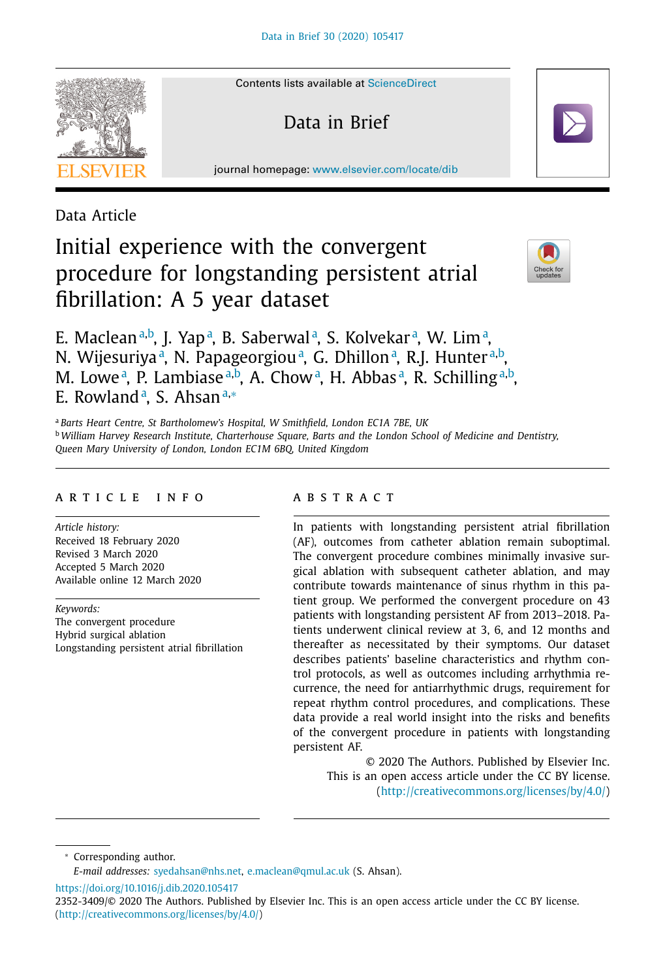

Contents lists available at [ScienceDirect](http://www.ScienceDirect.com)

Data in Brief

journal homepage: [www.elsevier.com/locate/dib](http://www.elsevier.com/locate/dib)

# Data Article

# Initial experience with the convergent procedure for longstanding persistent atrial fibrillation: A 5 year dataset



E. Maclean<sup>a,b</sup>, J. Yap<sup>.a</sup>, B. Saberwal<sup>a</sup>, S. Kolvekar<sup>.a</sup>, W. Lim<sup>.a</sup>, N. Wijesuriya<sup>a</sup>, N. Papageorgiou<sup>a</sup>, G. Dhillon<sup>a</sup>, R.J. Hunter<sup>a,b</sup>, M. Lowe<sup>a</sup>, P. Lambiase<sup>a,b</sup>, A. Chow<sup>a</sup>, H. Abbas<sup>a</sup>, R. Schilling<sup>a,b</sup>, E. Rowland<sup>a</sup>, S. Ahsan<sup>a,∗</sup>

<sup>a</sup> *Barts Heart Centre, St Bartholomew's Hospital, W Smithfield, London EC1A 7BE, UK*

<sup>b</sup> *William Harvey Research Institute, Charterhouse Square, Barts and the London School of Medicine and Dentistry,*

*Queen Mary University of London, London EC1M 6BQ, United Kingdom*

#### A R T I C L E I N F O

*Article history:* Received 18 February 2020 Revised 3 March 2020 Accepted 5 March 2020 Available online 12 March 2020

*Keywords:* The convergent procedure Hybrid surgical ablation Longstanding persistent atrial fibrillation

### a b s t r a c t

In patients with longstanding persistent atrial fibrillation (AF), outcomes from catheter ablation remain suboptimal. The convergent procedure combines minimally invasive surgical ablation with subsequent catheter ablation, and may contribute towards maintenance of sinus rhythm in this patient group. We performed the convergent procedure on 43 patients with longstanding persistent AF from 2013–2018. Patients underwent clinical review at 3, 6, and 12 months and thereafter as necessitated by their symptoms. Our dataset describes patients' baseline characteristics and rhythm control protocols, as well as outcomes including arrhythmia recurrence, the need for antiarrhythmic drugs, requirement for repeat rhythm control procedures, and complications. These data provide a real world insight into the risks and benefits of the convergent procedure in patients with longstanding persistent AF.

> © 2020 The Authors. Published by Elsevier Inc. This is an open access article under the CC BY license. [\(http://creativecommons.org/licenses/by/4.0/\)](http://creativecommons.org/licenses/by/4.0/)

<sup>∗</sup> Corresponding author.

<https://doi.org/10.1016/j.dib.2020.105417>

*E-mail addresses:* [syedahsan@nhs.net,](mailto:syedahsan@nhs.net) [e.maclean@qmul.ac.uk](mailto:e.maclean@qmul.ac.uk) (S. Ahsan).

<sup>2352-3409/© 2020</sup> The Authors. Published by Elsevier Inc. This is an open access article under the CC BY license. [\(http://creativecommons.org/licenses/by/4.0/\)](http://creativecommons.org/licenses/by/4.0/)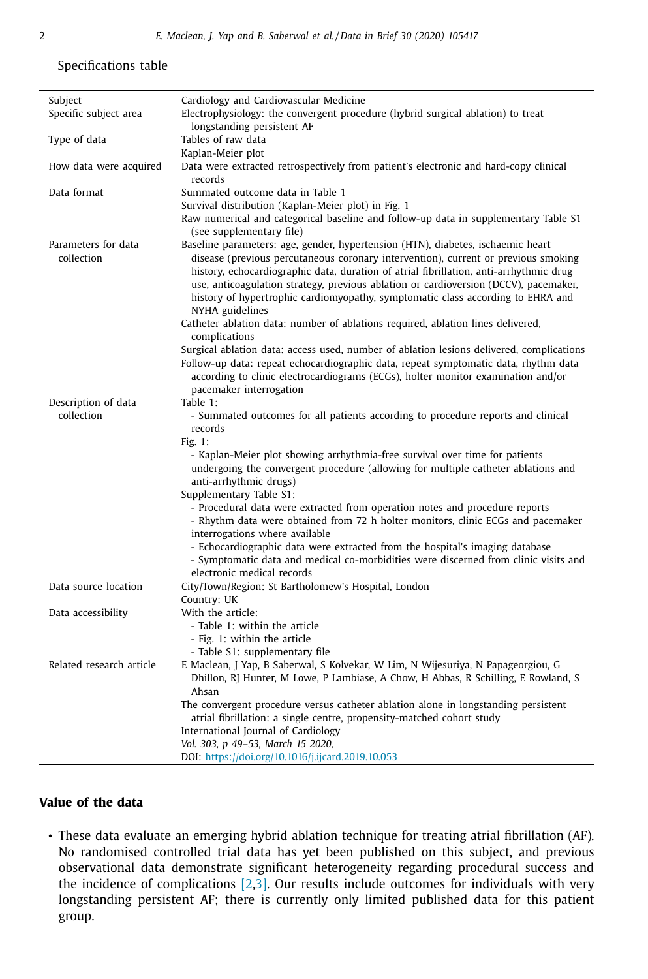# Specifications table

| Subject                  | Cardiology and Cardiovascular Medicine                                                                                                                                                                                                                                                                                                                                     |
|--------------------------|----------------------------------------------------------------------------------------------------------------------------------------------------------------------------------------------------------------------------------------------------------------------------------------------------------------------------------------------------------------------------|
| Specific subject area    | Electrophysiology: the convergent procedure (hybrid surgical ablation) to treat                                                                                                                                                                                                                                                                                            |
|                          | longstanding persistent AF                                                                                                                                                                                                                                                                                                                                                 |
| Type of data             | Tables of raw data                                                                                                                                                                                                                                                                                                                                                         |
|                          | Kaplan-Meier plot                                                                                                                                                                                                                                                                                                                                                          |
| How data were acquired   | Data were extracted retrospectively from patient's electronic and hard-copy clinical<br>records                                                                                                                                                                                                                                                                            |
| Data format              | Summated outcome data in Table 1                                                                                                                                                                                                                                                                                                                                           |
|                          | Survival distribution (Kaplan-Meier plot) in Fig. 1                                                                                                                                                                                                                                                                                                                        |
|                          | Raw numerical and categorical baseline and follow-up data in supplementary Table S1<br>(see supplementary file)                                                                                                                                                                                                                                                            |
| Parameters for data      | Baseline parameters: age, gender, hypertension (HTN), diabetes, ischaemic heart                                                                                                                                                                                                                                                                                            |
| collection               | disease (previous percutaneous coronary intervention), current or previous smoking<br>history, echocardiographic data, duration of atrial fibrillation, anti-arrhythmic drug<br>use, anticoagulation strategy, previous ablation or cardioversion (DCCV), pacemaker,<br>history of hypertrophic cardiomyopathy, symptomatic class according to EHRA and<br>NYHA guidelines |
|                          | Catheter ablation data: number of ablations required, ablation lines delivered,<br>complications                                                                                                                                                                                                                                                                           |
|                          | Surgical ablation data: access used, number of ablation lesions delivered, complications                                                                                                                                                                                                                                                                                   |
|                          | Follow-up data: repeat echocardiographic data, repeat symptomatic data, rhythm data<br>according to clinic electrocardiograms (ECGs), holter monitor examination and/or<br>pacemaker interrogation                                                                                                                                                                         |
| Description of data      | Table 1:                                                                                                                                                                                                                                                                                                                                                                   |
| collection               | - Summated outcomes for all patients according to procedure reports and clinical<br>records                                                                                                                                                                                                                                                                                |
|                          | Fig. 1:<br>- Kaplan-Meier plot showing arrhythmia-free survival over time for patients<br>undergoing the convergent procedure (allowing for multiple catheter ablations and<br>anti-arrhythmic drugs)                                                                                                                                                                      |
|                          | Supplementary Table S1:                                                                                                                                                                                                                                                                                                                                                    |
|                          | - Procedural data were extracted from operation notes and procedure reports<br>- Rhythm data were obtained from 72 h holter monitors, clinic ECGs and pacemaker<br>interrogations where available                                                                                                                                                                          |
|                          | - Echocardiographic data were extracted from the hospital's imaging database<br>- Symptomatic data and medical co-morbidities were discerned from clinic visits and<br>electronic medical records                                                                                                                                                                          |
| Data source location     | City/Town/Region: St Bartholomew's Hospital, London                                                                                                                                                                                                                                                                                                                        |
|                          | Country: UK                                                                                                                                                                                                                                                                                                                                                                |
| Data accessibility       | With the article:                                                                                                                                                                                                                                                                                                                                                          |
|                          | - Table 1: within the article<br>- Fig. 1: within the article                                                                                                                                                                                                                                                                                                              |
|                          | - Table S1: supplementary file                                                                                                                                                                                                                                                                                                                                             |
| Related research article | E Maclean, J Yap, B Saberwal, S Kolvekar, W Lim, N Wijesuriya, N Papageorgiou, G<br>Dhillon, RJ Hunter, M Lowe, P Lambiase, A Chow, H Abbas, R Schilling, E Rowland, S                                                                                                                                                                                                     |
|                          | Ahsan                                                                                                                                                                                                                                                                                                                                                                      |
|                          | The convergent procedure versus catheter ablation alone in longstanding persistent                                                                                                                                                                                                                                                                                         |
|                          | atrial fibrillation: a single centre, propensity-matched cohort study                                                                                                                                                                                                                                                                                                      |
|                          | International Journal of Cardiology                                                                                                                                                                                                                                                                                                                                        |
|                          | Vol. 303, p 49-53, March 15 2020,                                                                                                                                                                                                                                                                                                                                          |
|                          | DOI: https://doi.org/10.1016/j.ijcard.2019.10.053                                                                                                                                                                                                                                                                                                                          |
|                          |                                                                                                                                                                                                                                                                                                                                                                            |

# **Value of the data**

 $\overline{a}$ 

• These data evaluate an emerging hybrid ablation technique for treating atrial fibrillation (AF). No randomised controlled trial data has yet been published on this subject, and previous observational data demonstrate significant heterogeneity regarding procedural success and the incidence of complications  $[2,3]$ . Our results include outcomes for individuals with very longstanding persistent AF; there is currently only limited published data for this patient group.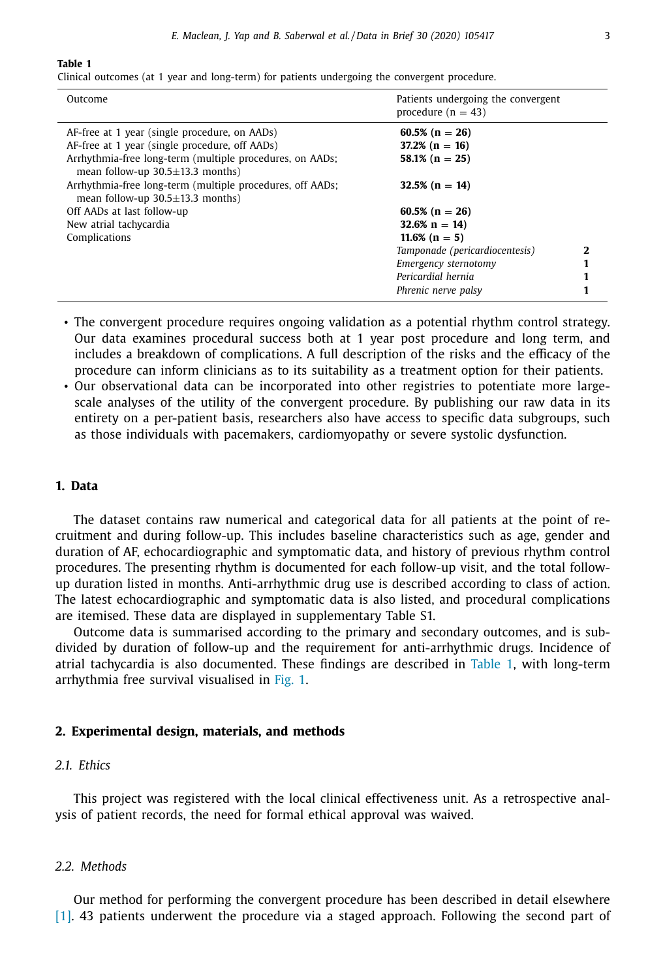#### **Table 1**

Clinical outcomes (at 1 year and long-term) for patients undergoing the convergent procedure.

| Outcome                                                                                                                                                     | Patients undergoing the convergent<br>procedure ( $n = 43$ )     |  |
|-------------------------------------------------------------------------------------------------------------------------------------------------------------|------------------------------------------------------------------|--|
| AF-free at 1 year (single procedure, on AADs)<br>AF-free at 1 year (single procedure, off AADs)<br>Arrhythmia-free long-term (multiple procedures, on AADs; | $60.5\%$ (n = 26)<br>$37.2\%$ (n = 16)<br>$58.1\%$ (n = 25)      |  |
| mean follow-up $30.5 \pm 13.3$ months)<br>Arrhythmia-free long-term (multiple procedures, off AADs;<br>mean follow-up $30.5 \pm 13.3$ months)               | $32.5\%$ (n = 14)                                                |  |
| Off AADs at last follow-up<br>New atrial tachycardia<br>Complications                                                                                       | $60.5\%$ (n = 26)<br>$32.6\% \text{ n} = 14$<br>$11.6\%$ (n = 5) |  |
|                                                                                                                                                             | Tamponade (pericardiocentesis)<br>Emergency sternotomy           |  |
|                                                                                                                                                             | Pericardial hernia<br>Phrenic nerve palsy                        |  |

• The convergent procedure requires ongoing validation as a potential rhythm control strategy. Our data examines procedural success both at 1 year post procedure and long term, and includes a breakdown of complications. A full description of the risks and the efficacy of the procedure can inform clinicians as to its suitability as a treatment option for their patients.

• Our observational data can be incorporated into other registries to potentiate more largescale analyses of the utility of the convergent procedure. By publishing our raw data in its entirety on a per-patient basis, researchers also have access to specific data subgroups, such as those individuals with pacemakers, cardiomyopathy or severe systolic dysfunction.

#### **1. Data**

The dataset contains raw numerical and categorical data for all patients at the point of recruitment and during follow-up. This includes baseline characteristics such as age, gender and duration of AF, echocardiographic and symptomatic data, and history of previous rhythm control procedures. The presenting rhythm is documented for each follow-up visit, and the total followup duration listed in months. Anti-arrhythmic drug use is described according to class of action. The latest echocardiographic and symptomatic data is also listed, and procedural complications are itemised. These data are displayed in supplementary Table S1.

Outcome data is summarised according to the primary and secondary outcomes, and is subdivided by duration of follow-up and the requirement for anti-arrhythmic drugs. Incidence of atrial tachycardia is also documented. These findings are described in Table 1, with long-term arrhythmia free survival visualised in [Fig.](#page-3-0) 1.

#### **2. Experimental design, materials, and methods**

#### *2.1. Ethics*

This project was registered with the local clinical effectiveness unit. As a retrospective analysis of patient records, the need for formal ethical approval was waived.

#### *2.2. Methods*

Our method for performing the convergent procedure has been described in detail elsewhere [\[1\].](#page-4-0) 43 patients underwent the procedure via a staged approach. Following the second part of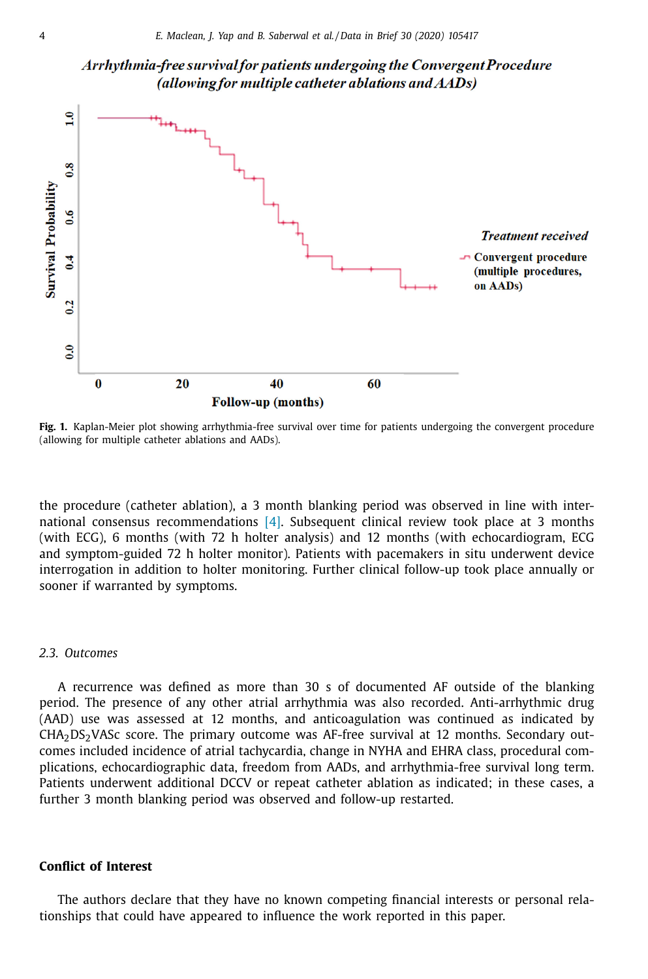<span id="page-3-0"></span>



**Fig. 1.** Kaplan-Meier plot showing arrhythmia-free survival over time for patients undergoing the convergent procedure (allowing for multiple catheter ablations and AADs).

the procedure (catheter ablation), a 3 month blanking period was observed in line with international consensus recommendations [\[4\].](#page-4-0) Subsequent clinical review took place at 3 months (with ECG), 6 months (with 72 h holter analysis) and 12 months (with echocardiogram, ECG and symptom-guided 72 h holter monitor). Patients with pacemakers in situ underwent device interrogation in addition to holter monitoring. Further clinical follow-up took place annually or sooner if warranted by symptoms.

#### *2.3. Outcomes*

A recurrence was defined as more than 30 s of documented AF outside of the blanking period. The presence of any other atrial arrhythmia was also recorded. Anti-arrhythmic drug (AAD) use was assessed at 12 months, and anticoagulation was continued as indicated by  $CHA<sub>2</sub>DS<sub>2</sub> VASC score.$  The primary outcome was AF-free survival at 12 months. Secondary outcomes included incidence of atrial tachycardia, change in NYHA and EHRA class, procedural complications, echocardiographic data, freedom from AADs, and arrhythmia-free survival long term. Patients underwent additional DCCV or repeat catheter ablation as indicated; in these cases, a further 3 month blanking period was observed and follow-up restarted.

# **Conflict of Interest**

The authors declare that they have no known competing financial interests or personal relationships that could have appeared to influence the work reported in this paper.